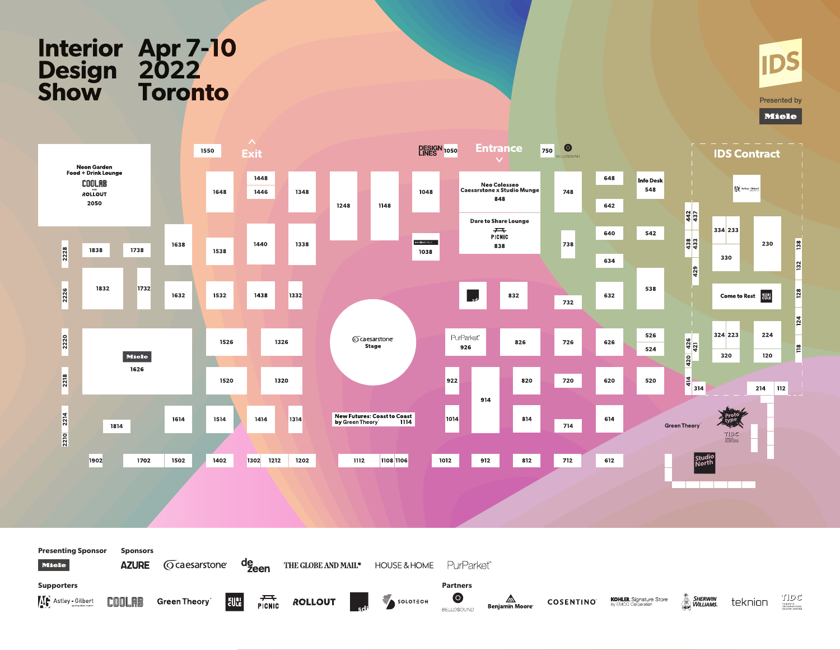# Interior Apr 7-10<br>Design 2022<br>Show Toronto